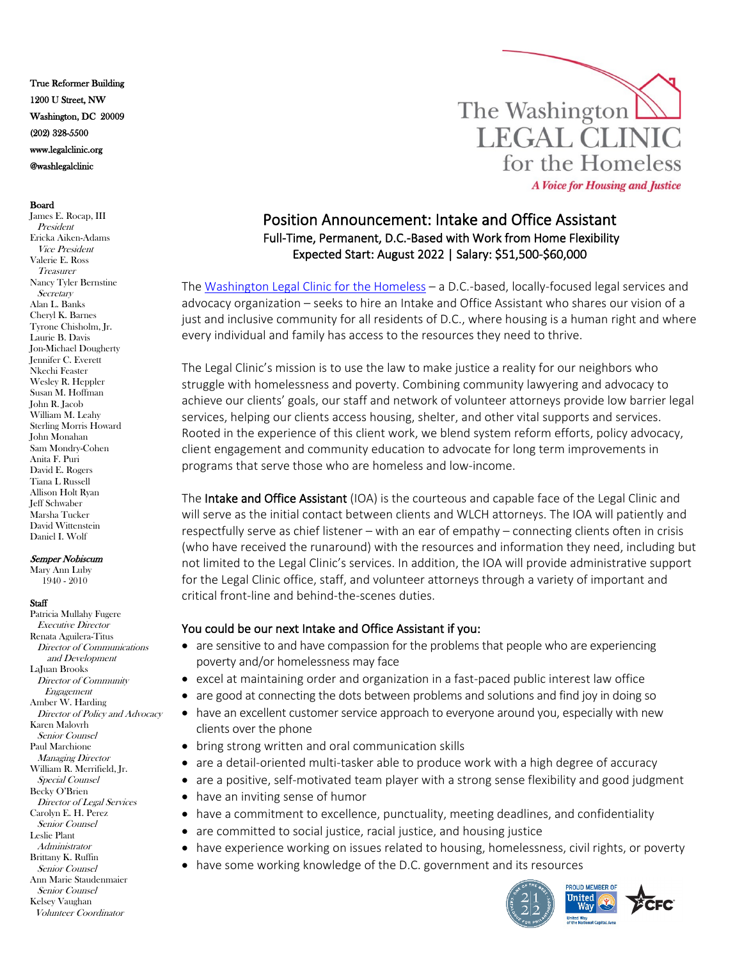True Reformer Building 1200 U Street, NW Washington, DC 20009 (202) 328-5500 www.legalclinic.org @washlegalclinic

### Board

James E. Rocap, III President Ericka Aiken-Adams Vice President Valerie E. Ross Treasurer Nancy Tyler Bernstine **Secretary** Alan L. Banks Cheryl K. Barnes Tyrone Chisholm, Jr. Laurie B. Davis Jon-Michael Dougherty Jennifer C. Everett Nkechi Feaster Wesley R. Heppler Susan M. Hoffman John R. Jacob William M. Leahy Sterling Morris Howard John Monahan Sam Mondry-Cohen Anita F. Puri David E. Rogers Tiana L Russell Allison Holt Ryan Jeff Schwaber Marsha Tucker David Wittenstein Daniel I. Wolf

#### Semper Nobiscum

Mary Ann Luby 1940 - 2010

### **Staff**

Patricia Mullahy Fugere Executive Director Renata Aguilera-Titus Director of Communications and Development LaJuan Brooks Director of Community Engagement Amber W. Harding Director of Policy and Advocacy Karen Malovrh Senior Counsel Paul Marchione Managing Director William R. Merrifield, Jr. Special Counsel Becky O'Brien Director of Legal Services Carolyn E. H. Perez Senior Counsel Leslie Plant Administrator Brittany K. Ruffin Senior Counsel Ann Marie Staudenmaier Senior Counsel Kelsey Vaughan Volunteer Coordinator



# Position Announcement: Intake and Office Assistant Full-Time, Permanent, D.C.-Based with Work from Home Flexibility Expected Start: August 2022 | Salary: \$51,500-\$60,000

The [Washington Legal Clinic for the Homeless](http://www.legalclinic.org/) – a D.C.-based, locally-focused legal services and advocacy organization – seeks to hire an Intake and Office Assistant who shares our vision of a just and inclusive community for all residents of D.C., where housing is a human right and where every individual and family has access to the resources they need to thrive.

The Legal Clinic's mission is to use the law to make justice a reality for our neighbors who struggle with homelessness and poverty. Combining community lawyering and advocacy to achieve our clients' goals, our staff and network of volunteer attorneys provide low barrier legal services, helping our clients access housing, shelter, and other vital supports and services. Rooted in the experience of this client work, we blend system reform efforts, policy advocacy, client engagement and community education to advocate for long term improvements in programs that serve those who are homeless and low-income.

The Intake and Office Assistant (IOA) is the courteous and capable face of the Legal Clinic and will serve as the initial contact between clients and WLCH attorneys. The IOA will patiently and respectfully serve as chief listener – with an ear of empathy – connecting clients often in crisis (who have received the runaround) with the resources and information they need, including but not limited to the Legal Clinic's services. In addition, the IOA will provide administrative support for the Legal Clinic office, staff, and volunteer attorneys through a variety of important and critical front-line and behind-the-scenes duties.

### You could be our next Intake and Office Assistant if you:

- are sensitive to and have compassion for the problems that people who are experiencing poverty and/or homelessness may face
- excel at maintaining order and organization in a fast-paced public interest law office
- are good at connecting the dots between problems and solutions and find joy in doing so
- have an excellent customer service approach to everyone around you, especially with new clients over the phone
- bring strong written and oral communication skills
- are a detail-oriented multi-tasker able to produce work with a high degree of accuracy
- are a positive, self-motivated team player with a strong sense flexibility and good judgment
- have an inviting sense of humor
- have a commitment to excellence, punctuality, meeting deadlines, and confidentiality
- are committed to social justice, racial justice, and housing justice
- have experience working on issues related to housing, homelessness, civil rights, or poverty
- have some working knowledge of the D.C. government and its resources